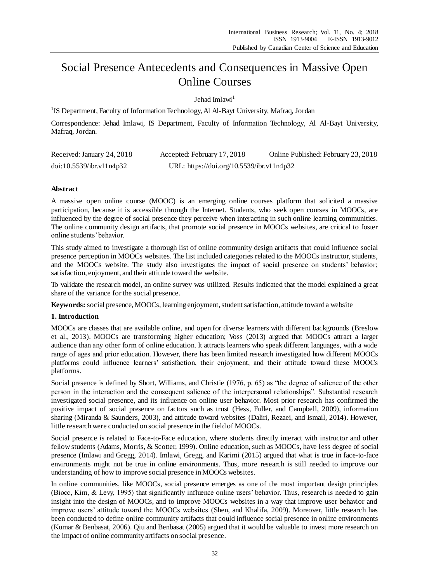# Social Presence Antecedents and Consequences in Massive Open Online Courses

Jehad Imlawi<sup>1</sup>

<sup>1</sup>IS Department, Faculty of Information Technology, Al Al-Bayt University, Mafraq, Jordan

Correspondence: Jehad Imlawi, IS Department, Faculty of Information Technology, Al Al-Bayt University, Mafraq, Jordan.

| Received: January 24, 2018 | Accepted: February 17, 2018               | Online Published: February 23, 2018 |
|----------------------------|-------------------------------------------|-------------------------------------|
| doi:10.5539/ibr.v11n4p32   | URL: https://doi.org/10.5539/ibr.v11n4p32 |                                     |

# **Abstract**

A massive open online course (MOOC) is an emerging online courses platform that solicited a massive participation, because it is accessible through the Internet. Students, who seek open courses in MOOCs, are influenced by the degree of social presence they perceive when interacting in such online learning communities. The online community design artifacts, that promote social presence in MOOCs websites, are critical to foster online students' behavior.

This study aimed to investigate a thorough list of online community design artifacts that could influence social presence perception in MOOCs websites. The list included categories related to the MOOCs instructor, students, and the MOOCs website. The study also investigates the impact of social presence on students' behavior; satisfaction, enjoyment, and their attitude toward the website.

To validate the research model, an online survey was utilized. Results indicated that the model explained a great share of the variance for the social presence.

Keywords: social presence, MOOCs, learning enjoyment, student satisfaction, attitude toward a website

# **1. Introduction**

MOOCs are classes that are available online, and open for diverse learners with different backgrounds (Breslow et al., 2013). MOOCs are transforming higher education; Voss (2013) argued that MOOCs attract a larger audience than any other form of online education. It attracts learners who speak different languages, with a wide range of ages and prior education. However, there has been limited research investigated how different MOOCs platforms could influence learners' satisfaction, their enjoyment, and their attitude toward these MOOCs platforms.

Social presence is defined by Short, Williams, and Christie (1976, p. 65) as "the degree of salience of the other person in the interaction and the consequent salience of the interpersonal relationships". Substantial research investigated social presence, and its influence on online user behavior. Most prior research has confirmed the positive impact of social presence on factors such as trust (Hess, Fuller, and Campbell, 2009), information sharing (Miranda & Saunders, 2003), and attitude toward websites (Daliri, Rezaei, and Ismail, 2014). However, little research were conducted on social presence in the field of MOOCs.

Social presence is related to Face-to-Face education, where students directly interact with instructor and other fellow students (Adams, Morris, & Scotter, 1999). Online education, such as MOOCs, have less degree of social presence (Imlawi and Gregg, 2014). Imlawi, Gregg, and Karimi (2015) argued that what is true in face-to-face environments might not be true in online environments. Thus, more research is still needed to improve our understanding of how to improve social presence in MOOCs websites.

In online communities, like MOOCs, social presence emerges as one of the most important design principles (Biocc, Kim, & Levy, 1995) that significantly influence online users' behavior. Thus, research is needed to gain insight into the design of MOOCs, and to improve MOOCs websites in a way that improve user behavior and improve users' attitude toward the MOOCs websites (Shen, and Khalifa, 2009). Moreover, little research has been conducted to define online community artifacts that could influence social presence in online environments (Kumar & Benbasat, 2006). Qiu and Benbasat (2005) argued that it would be valuable to invest more research on the impact of online community artifacts on social presence.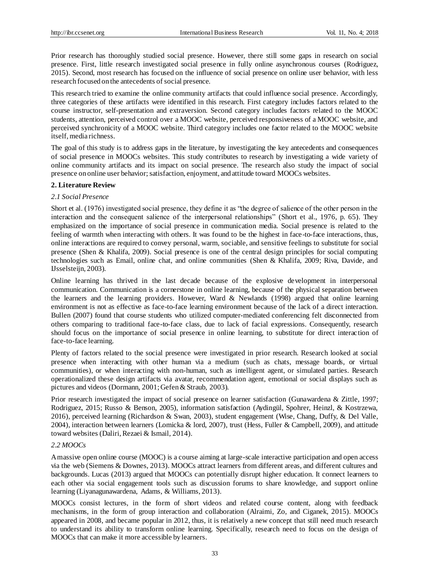Prior research has thoroughly studied social presence. However, there still some gaps in research on social presence. First, little research investigated social presence in fully online asynchronous courses (Rodriguez, 2015). Second, most research has focused on the influence of social presence on online user behavior, with less research focused on the antecedents of social presence.

This research tried to examine the online community artifacts that could influence social presence. Accordingly, three categories of these artifacts were identified in this research. First category includes factors related to the course instructor, self-presentation and extraversion. Second category includes factors related to the MOOC students, attention, perceived control over a MOOC website, perceived responsiveness of a MOOC website, and perceived synchronicity of a MOOC website. Third category includes one factor related to the MOOC website itself, media richness.

The goal of this study is to address gaps in the literature, by investigating the key antecedents and consequences of social presence in MOOCs websites. This study contributes to research by investigating a wide variety of online community artifacts and its impact on social presence. The research also study the impact of social presence on online user behavior; satisfaction, enjoyment, and attitude toward MOOCs websites.

#### **2. Literature Review**

#### *2.1 Social Presence*

Short et al. (1976) investigated social presence, they define it as "the degree of salience of the other person in the interaction and the consequent salience of the interpersonal relationships" (Short et al., 1976, p. 65). They emphasized on the importance of social presence in communication media. Social presence is related to the feeling of warmth when interacting with others. It was found to be the highest in face-to-face interactions, thus, online interactions are required to convey personal, warm, sociable, and sensitive feelings to substitute for social presence (Shen & Khalifa, 2009). Social presence is one of the central design principles for social computing technologies such as Email, online chat, and online communities (Shen & Khalifa, 2009; Riva, Davide, and IJsselsteijn, 2003).

Online learning has thrived in the last decade because of the explosive development in interpersonal communication. Communication is a cornerstone in online learning, because of the physical separation between the learners and the learning providers. However, Ward & Newlands (1998) argued that online learning environment is not as effective as face-to-face learning environment because of the lack of a direct interaction. Bullen (2007) found that course students who utilized computer-mediated conferencing felt disconnected from others comparing to traditional face-to-face class, due to lack of facial expressions. Consequently, research should focus on the importance of social presence in online learning, to substitute for direct interac tion of face-to-face learning.

Plenty of factors related to the social presence were investigated in prior research. Research looked at social presence when interacting with other human via a medium (such as chats, message boards, or virtual communities), or when interacting with non-human, such as intelligent agent, or simulated parties. Research operationalized these design artifacts via avatar, recommendation agent, emotional or social displays such as pictures and videos (Dormann, 2001; Gefen & Straub, 2003).

Prior research investigated the impact of social presence on learner satisfaction (Gunawardena & Zittle, 1997; Rodriguez, 2015; Russo & Benson, 2005), information satisfaction (Aydingül, Spohrer, Heinzl, & Kostrzewa, 2016), perceived learning (Richardson & Swan, 2003), student engagement (Wise, Chang, Duffy, & Del Valle, 2004), interaction between learners (Lomicka & lord, 2007), trust (Hess, Fuller & Campbell, 2009), and attitude toward websites (Daliri, Rezaei & Ismail, 2014).

### *2.2 MOOCs*

A massive open online course (MOOC) is a course aiming at large-scale interactive participation and open access via the web (Siemens & Downes, 2013). MOOCs attract learners from different areas, and different cultures and backgrounds. Lucas (2013) argued that MOOCs can potentially disrupt higher education. It connect learners to each other via social engagement tools such as discussion forums to share knowledge, and support online learning (Liyanagunawardena, Adams, & Williams, 2013).

MOOCs consist lectures, in the form of short videos and related course content, along with feedback mechanisms, in the form of group interaction and collaboration (Alraimi, Zo, and Ciganek, 2015). MOOCs appeared in 2008, and became popular in 2012, thus, it is relatively a new concept that still need much research to understand its ability to transform online learning. Specifically, research need to focus on the design of MOOCs that can make it more accessible by learners.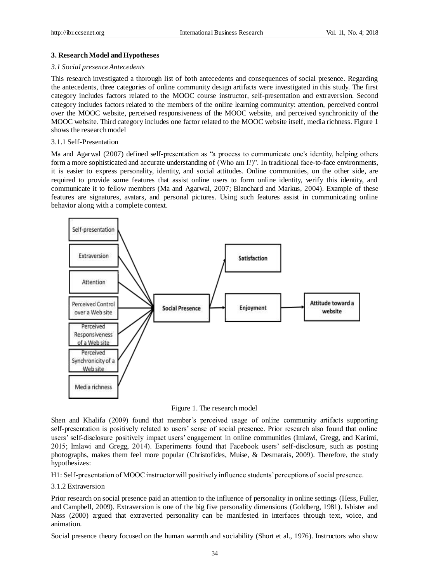## **3. Research Model and Hypotheses**

#### *3.1 Social presence Antecedents*

This research investigated a thorough list of both antecedents and consequences of social presence. Regarding the antecedents, three categories of online community design artifacts were investigated in this study. The first category includes factors related to the MOOC course instructor, self-presentation and extraversion. Second category includes factors related to the members of the online learning community: attention, perceived control over the MOOC website, perceived responsiveness of the MOOC website, and perceived synchronicity of the MOOC website. Third category includes one factor related to the MOOC website itself, media richness. Figure 1 shows the research model

# 3.1.1 Self-Presentation

Ma and Agarwal (2007) defined self-presentation as "a process to communicate one's identity, helping others form a more sophisticated and accurate understanding of (Who am I?)". In traditional face-to-face environments, it is easier to express personality, identity, and social attitudes. Online communities, on the other side, are required to provide some features that assist online users to form online identity, verify this identity, and communicate it to fellow members (Ma and Agarwal, 2007; Blanchard and Markus, 2004). Example of these features are signatures, avatars, and personal pictures. Using such features assist in communicating online behavior along with a complete context.



Figure 1. The research model

Shen and Khalifa (2009) found that member's perceived usage of online community artifacts supporting self-presentation is positively related to users' sense of social presence. Prior research also found that online users' self-disclosure positively impact users' engagement in online communities (Imlawi, Gregg, and Karimi, 2015; Imlawi and Gregg, 2014). Experiments found that Facebook users' self-disclosure, such as posting photographs, makes them feel more popular (Christofides, Muise, & Desmarais, 2009). Therefore, the study hypothesizes:

H1: Self-presentation of MOOC instructor will positively influence students' perceptions of social presence.

3.1.2 Extraversion

Prior research on social presence paid an attention to the influence of personality in online settings (Hess, Fuller, and Campbell, 2009). Extraversion is one of the big five personality dimensions (Goldberg, 1981). Isbister and Nass (2000) argued that extraverted personality can be manifested in interfaces through text, voice, and animation.

Social presence theory focused on the human warmth and sociability (Short et al., 1976). Instructors who show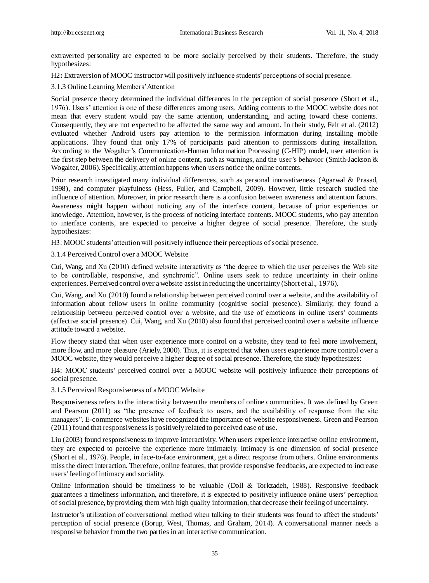extraverted personality are expected to be more socially perceived by their students. Therefore, the study hypothesizes:

H2: Extraversion of MOOC instructor will positively influence students' perceptions of social presence.

3.1.3 Online Learning Members' Attention

Social presence theory determined the individual differences in the perception of social presence (Short et al., 1976). Users' attention is one of these differences among users. Adding contents to the MOOC website does not mean that every student would pay the same attention, understanding, and acting toward these contents. Consequently, they are not expected to be affected the same way and amount. In their study, Felt et al. (2012) evaluated whether Android users pay attention to the permission information during installing mobile applications. They found that only 17% of participants paid attention to permissions during installation. According to the Wogalter's Communication-Human Information Processing (C-HIP) model, user attention is the first step between the delivery of online content, such as warnings, and the user's behavior (Smith-Jackson & Wogalter, 2006). Specifically, attention happens when users notice the online contents.

Prior research investigated many individual differences, such as personal innovativeness (Agarwal & Prasad, 1998), and computer playfulness (Hess, Fuller, and Campbell, 2009). However, little research studied the influence of attention. Moreover, in prior research there is a confusion between awareness and attention factors. Awareness might happen without noticing any of the interface content, because of prior experiences or knowledge. Attention, however, is the process of noticing interface contents. MOOC students, who pay attention to interface contents, are expected to perceive a higher degree of social presence. Therefore, the study hypothesizes:

H3: MOOC students' attention will positively influence their perceptions of social presence.

3.1.4 Perceived Control over a MOOC Website

Cui, Wang, and Xu (2010) defined website interactivity as "the degree to which the user perceives the Web site to be controllable, responsive, and synchronic". Online users seek to reduce uncertainty in their online experiences. Perceived control over a website assist in reducing the uncertainty (Short et al., 1976).

Cui, Wang, and Xu (2010) found a relationship between perceived control over a website, and the availability of information about fellow users in online community (cognitive social presence). Similarly, they found a relationship between perceived control over a website, and the use of emoticons in online users' comments (affective social presence). Cui, Wang, and Xu (2010) also found that perceived control over a website influence attitude toward a website.

Flow theory stated that when user experience more control on a website, they tend to feel more involvement, more flow, and more pleasure (Ariely, 2000). Thus, it is expected that when users experience more control over a MOOC website, they would perceive a higher degree of social presence. Therefore, the study hypothesizes:

H4: MOOC students' perceived control over a MOOC website will positively influence their perceptions of social presence.

3.1.5 Perceived Responsiveness of a MOOC Website

Responsiveness refers to the interactivity between the members of online communities. It was defined by Green and Pearson (2011) as "the presence of feedback to users, and the availability of response from the site managers". E-commerce websites have recognized the importance of website responsiveness. Green and Pearson (2011) found that responsiveness is positively related to perceived ease of use.

Liu (2003) found responsiveness to improve interactivity. When users experience interactive online environment, they are expected to perceive the experience more intimately. Intimacy is one dimension of social presence (Short et al., 1976). People, in face-to-face environment, get a direct response from others. Online environments miss the direct interaction. Therefore, online features, that provide responsive feedbacks, are expected to increase users' feeling of intimacy and sociality.

Online information should be timeliness to be valuable (Doll & Torkzadeh, 1988). Responsive feedback guarantees a timeliness information, and therefore, it is expected to positively influence online users' perception of social presence, by providing them with high quality information, that decrease their feeling of uncertainty.

Instructor's utilization of conversational method when talking to their students was found to affect the students' perception of social presence (Borup, West, Thomas, and Graham, 2014). A conversational manner needs a responsive behavior from the two parties in an interactive communication.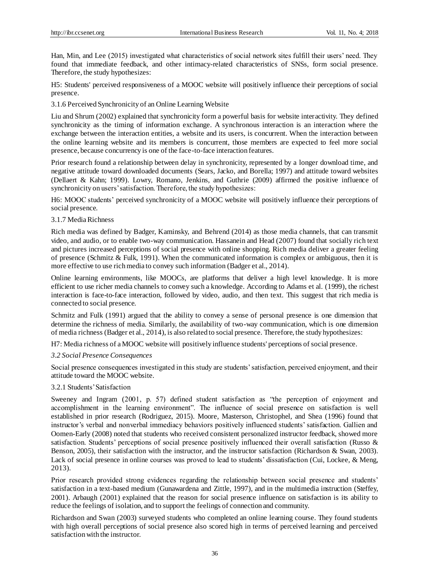Han, Min, and Lee (2015) investigated what characteristics of social network sites fulfill their users' need. They found that immediate feedback, and other intimacy-related characteristics of SNSs, form social presence. Therefore, the study hypothesizes:

H5: Students' perceived responsiveness of a MOOC website will positively influence their perceptions of social presence.

3.1.6 Perceived Synchronicity of an Online Learning Website

Liu and Shrum (2002) explained that synchronicity form a powerful basis for website interactivity. They defined synchronicity as the timing of information exchange. A synchronous interaction is an interaction where the exchange between the interaction entities, a website and its users, is concurrent. When the interaction between the online learning website and its members is concurrent, those members are expected to feel more social presence, because concurrency is one of the face-to-face interaction features.

Prior research found a relationship between delay in synchronicity, represented by a longer download time, and negative attitude toward downloaded documents (Sears, Jacko, and Borella; 1997) and attitude toward websites (Dellaert & Kahn; 1999). Lowry, Romano, Jenkins, and Guthrie (2009) affirmed the positive influence of synchronicity on users' satisfaction. Therefore, the study hypothesizes:

H6: MOOC students' perceived synchronicity of a MOOC website will positively influence their perceptions of social presence.

## 3.1.7 Media Richness

Rich media was defined by Badger, Kaminsky, and Behrend (2014) as those media channels, that can transmit video, and audio, or to enable two-way communication. Hassanein and Head (2007) found that socially rich text and pictures increased perceptions of social presence with online shopping. Rich media deliver a greater feeling of presence (Schmitz & Fulk, 1991). When the communicated information is complex or ambiguous, then it is more effective to use rich media to convey such information (Badger et al., 2014).

Online learning environments, like MOOCs, are platforms that deliver a high level knowledge. It is more efficient to use richer media channels to convey such a knowledge. According to Adams et al. (1999), the richest interaction is face-to-face interaction, followed by video, audio, and then text. This suggest that rich media is connected to social presence.

Schmitz and Fulk (1991) argued that the ability to convey a sense of personal presence is one dimension that determine the richness of media. Similarly, the availability of two-way communication, which is one dimension of media richness (Badger et al., 2014), is also related to social presence. Therefore, the study hypothesizes:

H7: Media richness of a MOOC website will positively influence students' perceptions of social presence.

#### *3.2 Social Presence Consequences*

Social presence consequences investigated in this study are students' satisfaction, perceived enjoyment, and their attitude toward the MOOC website.

## 3.2.1 Students' Satisfaction

Sweeney and Ingram (2001, p. 57) defined student satisfaction as "the perception of enjoyment and accomplishment in the learning environment". The influence of social presence on satisfaction is well established in prior research (Rodriguez, 2015). Moore, Masterson, Christophel, and Shea (1996) found that instructor's verbal and nonverbal immediacy behaviors positively influenced students' satisfaction. Gallien and Oomen-Early (2008) noted that students who received consistent personalized instructor feedback, showed more satisfaction. Students' perceptions of social presence positively influenced their overall satisfaction (Russo & Benson, 2005), their satisfaction with the instructor, and the instructor satisfaction (Richardson & Swan, 2003). Lack of social presence in online courses was proved to lead to students' dissatisfaction (Cui, Lockee, & Meng, 2013).

Prior research provided strong evidences regarding the relationship between social presence and students' satisfaction in a text-based medium (Gunawardena and Zittle, 1997), and in the multimedia instruction (Steffey, 2001). Arbaugh (2001) explained that the reason for social presence influence on satisfaction is its ability to reduce the feelings of isolation, and to support the feelings of connection and community.

Richardson and Swan (2003) surveyed students who completed an online learning course. They found students with high overall perceptions of social presence also scored high in terms of perceived learning and perceived satisfaction with the instructor.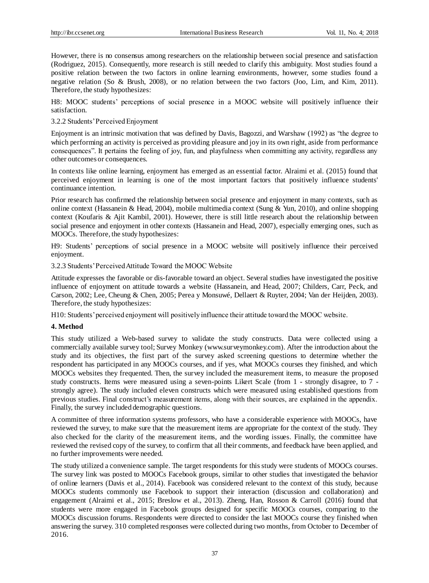However, there is no consensus among researchers on the relationship between social presence and satisfaction (Rodriguez, 2015). Consequently, more research is still needed to clarify this ambiguity. Most studies found a positive relation between the two factors in online learning environments, however, some studies found a negative relation (So & Brush, 2008), or no relation between the two factors (Joo, Lim, and Kim, 2011). Therefore, the study hypothesizes:

H8: MOOC students' perceptions of social presence in a MOOC website will positively influence their satisfaction.

3.2.2 Students' Perceived Enjoyment

Enjoyment is an intrinsic motivation that was defined by Davis, Bagozzi, and Warshaw (1992) as "the degree to which performing an activity is perceived as providing pleasure and joy in its own right, aside from performance consequences". It pertains the feeling of joy, fun, and playfulness when committing any activity, regardless any other outcomes or consequences.

In contexts like online learning, enjoyment has emerged as an essential factor. Alraimi et al. (2015) found that perceived enjoyment in learning is one of the most important factors that positively influence students' continuance intention.

Prior research has confirmed the relationship between social presence and enjoyment in many contexts, such as online context (Hassanein & Head, 2004), mobile multimedia context (Sung & Yun, 2010), and online shopping context (Koufaris & Ajit Kambil, 2001). However, there is still little research about the relationship between social presence and enjoyment in other contexts (Hassanein and Head, 2007), especially emerging ones, such as MOOCs. Therefore, the study hypothesizes:

H9: Students' perceptions of social presence in a MOOC website will positively influence their perceived enjoyment.

3.2.3 Students' Perceived Attitude Toward the MOOC Website

Attitude expresses the favorable or dis-favorable toward an object. Several studies have investigated the positive influence of enjoyment on attitude towards a website (Hassanein, and Head, 2007; Childers, Carr, Peck, and Carson, 2002; Lee, Cheung & Chen, 2005; Perea y Monsuwé, Dellaert & Ruyter, 2004; Van der Heijden, 2003). Therefore, the study hypothesizes:

H10: Students' perceived enjoyment will positively influence their attitude toward the MOOC website.

## **4. Method**

This study utilized a Web-based survey to validate the study constructs. Data were collected using a commercially available survey tool; Survey Monkey (www.surveymonkey.com). After the introduction about the study and its objectives, the first part of the survey asked screening questions to determine whether the respondent has participated in any MOOCs courses, and if yes, what MOOCs courses they finished, and which MOOCs websites they frequented. Then, the survey included the measurement items, to measure the proposed study constructs. Items were measured using a seven-points Likert Scale (from 1 - strongly disagree, to 7 strongly agree). The study included eleven constructs which were measured using established questions from previous studies. Final construct's measurement items, along with their sources, are explained in the appendix. Finally, the survey included demographic questions.

A committee of three information systems professors, who have a considerable experience with MOOCs, have reviewed the survey, to make sure that the measurement items are appropriate for the context of the study. They also checked for the clarity of the measurement items, and the wording issues. Finally, the committee have reviewed the revised copy of the survey, to confirm that all their comments, and feedback have been applied, and no further improvements were needed.

The study utilized a convenience sample. The target respondents for this study were students of MOOCs courses. The survey link was posted to MOOCs Facebook groups, similar to other studies that investigated the behavior of online learners (Davis et al., 2014). Facebook was considered relevant to the context of this study, because MOOCs students commonly use Facebook to support their interaction (discussion and collaboration) and engagement (Alraimi et al., 2015; Breslow et al., 2013). Zheng, Han, Rosson & Carroll (2016) found that students were more engaged in Facebook groups designed for specific MOOCs courses, comparing to the MOOCs discussion forums. Respondents were directed to consider the last MOOCs course they finished when answering the survey. 310 completed responses were collected during two months, from October to December of 2016.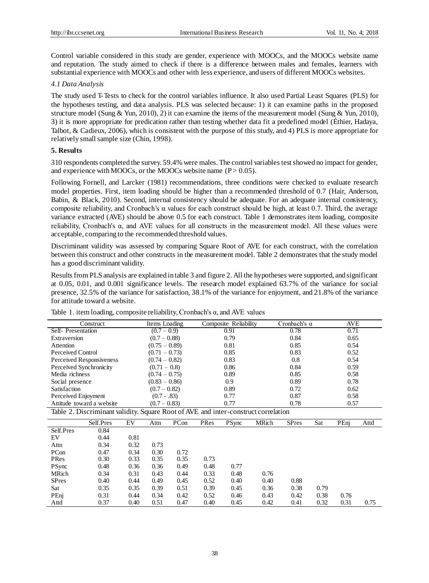Control variable considered in this study are gender, experience with MOOCs, and the MOOCs website name and reputation. The study aimed to check if there is a difference between males and females, learners with substantial experience with MOOCs and other with less experience, and users of different MOOCs websites.

# *4.1 Data Analysis*

The study used T-Tests to check for the control variables influence. It also used Partial Least Squares (PLS) for the hypotheses testing, and data analysis. PLS was selected because: 1) it can examine paths in the proposed structure model (Sung & Yun, 2010), 2) it can examine the items of the measurement model (Sung & Yun, 2010), 3) it is more appropriate for predication rather than testing whether data fit a predefined model (Éthier, Hadaya, Talbot, & Cadieux, 2006), which is consistent with the purpose of this study, and 4) PLS is more appropriate for relatively small sample size (Chin, 1998).

## **5. Results**

310 respondents completed the survey. 59.4% were males. The control variables test showed no impact for gender, and experience with MOOCs, or the MOOCs website name  $(P > 0.05)$ .

Following Fornell, and Larcker (1981) recommendations, three conditions were checked to evaluate research model properties. First, item loading should be higher than a recommended threshold of 0.7 (Hair, Anderson, Babin, & Black, 2010). Second, internal consistency should be adequate. For an adequate internal consistency, composite reliability, and Cronbach's  $\alpha$  values for each construct should be high, at least 0.7. Third, the average variance extracted (AVE) should be above 0.5 for each construct. Table 1 demonstrates item loading, composite reliability, Cronbach's α, and AVE values for all constructs in the measurement model. All these values were acceptable, comparing to the recommended threshold values.

Discriminant validity was assessed by comparing Square Root of AVE for each construct, with the correlation between this construct and other constructs in the measurement model. Table 2 demonstrates that the study model has a good discriminant validity.

Results from PLS analysis are explained in table 3 and figure 2. All the hypotheses were supported, and significant at 0.05, 0.01, and 0.001 significance levels. The research model explained 63.7% of the variance for social presence, 32.5% of the variance for satisfaction, 38.1% of the variance for enjoyment, and 21.8% of the variance for attitude toward a website.

|                                                                                    | Construct                 |                 | Items Loading   |      |      | Composite Reliability |       | Cronbach's $\alpha$ |      | AVE  |      |
|------------------------------------------------------------------------------------|---------------------------|-----------------|-----------------|------|------|-----------------------|-------|---------------------|------|------|------|
| Self-Presentation                                                                  |                           | $(0.7 - 0.9)$   |                 |      | 0.91 |                       | 0.78  |                     | 0.71 |      |      |
| Extraversion                                                                       |                           |                 | $(0.7 - 0.88)$  |      |      | 0.79                  |       | 0.84                |      | 0.65 |      |
| Attention                                                                          |                           | $(0.75 - 0.89)$ |                 |      | 0.81 |                       | 0.85  |                     | 0.54 |      |      |
| <b>Perceived Control</b>                                                           |                           |                 | $(0.71 - 0.73)$ |      |      | 0.85                  |       | 0.83                |      | 0.52 |      |
|                                                                                    | Perceived Responsiveness  |                 | $(0.74 - 0.82)$ |      | 0.83 |                       |       | 0.8                 |      | 0.54 |      |
| Perceived Synchronicity                                                            |                           |                 | $(0.71 - 0.8)$  |      | 0.86 |                       |       | 0.84                |      | 0.59 |      |
| Media richness                                                                     |                           |                 | $(0.74 - 0.75)$ |      |      | 0.89                  |       | 0.85                |      | 0.58 |      |
| Social presence                                                                    |                           |                 | $(0.83 - 0.86)$ |      |      | 0.9                   |       | 0.89                |      | 0.78 |      |
| Satisfaction                                                                       |                           |                 | $(0.7 - 0.82)$  |      |      | 0.89                  |       | 0.72                |      | 0.62 |      |
| Perceived Enjoyment                                                                |                           |                 | $(0.7 - .83)$   |      |      | 0.77                  |       | 0.87                |      | 0.58 |      |
|                                                                                    | Attitude toward a website | $(0.7 - 0.83)$  |                 |      | 0.77 |                       | 0.78  | 0.57                |      |      |      |
| Table 2. Discriminant validity. Square Root of AVE and inter-construct correlation |                           |                 |                 |      |      |                       |       |                     |      |      |      |
|                                                                                    | Self.Pres                 | EV              | Attn            | PCon | PRes | <b>PSync</b>          | MRich | <b>SPres</b>        | Sat  | PEnj | Attd |
| Self.Pres                                                                          | 0.84                      |                 |                 |      |      |                       |       |                     |      |      |      |
| EV                                                                                 | 0.44                      | 0.81            |                 |      |      |                       |       |                     |      |      |      |
| Attn                                                                               | 0.34                      | 0.32            | 0.73            |      |      |                       |       |                     |      |      |      |
| PCon                                                                               | 0.47                      | 0.34            | 0.30            | 0.72 |      |                       |       |                     |      |      |      |
| PRes                                                                               | 0.30                      | 0.33            | 0.35            | 0.35 | 0.73 |                       |       |                     |      |      |      |
| <b>PSync</b>                                                                       | 0.48                      | 0.36            | 0.36            | 0.49 | 0.48 | 0.77                  |       |                     |      |      |      |
| MRich                                                                              | 0.34                      | 0.31            | 0.43            | 0.44 | 0.33 | 0.48                  | 0.76  |                     |      |      |      |
| <b>SPres</b>                                                                       | 0.40                      | 0.44            | 0.49            | 0.45 | 0.52 | 0.40                  | 0.40  | 0.88                |      |      |      |
| Sat                                                                                | 0.35                      | 0.35            | 0.39            | 0.51 | 0.39 | 0.45                  | 0.36  | 0.38                | 0.79 |      |      |
| PEnj                                                                               | 0.31                      | 0.44            | 0.34            | 0.42 | 0.52 | 0.46                  | 0.43  | 0.42                | 0.38 | 0.76 |      |
| Attd                                                                               | 0.37                      | 0.40            | 0.51            | 0.47 | 0.40 | 0.45                  | 0.42  | 0.41                | 0.32 | 0.31 | 0.75 |

Table 1. item loading, composite reliability, Cronbach's  $\alpha$ , and AVE values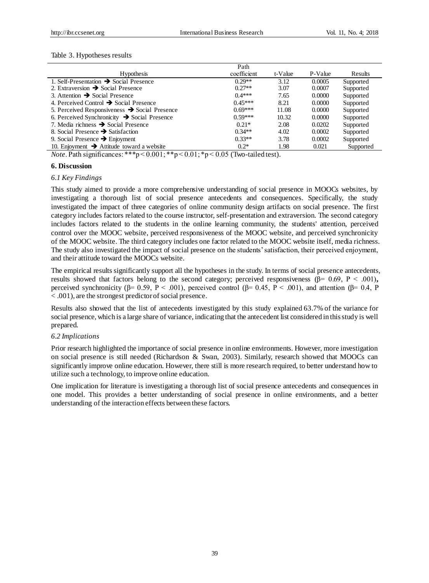#### Table 3. Hypotheses results

|                                                           | Path        |         |         |           |
|-----------------------------------------------------------|-------------|---------|---------|-----------|
| <b>Hypothesis</b>                                         | coefficient | t-Value | P-Value | Results   |
| 1. Self-Presentation $\rightarrow$ Social Presence        | $0.29**$    | 3.12    | 0.0005  | Supported |
| 2. Extraversion $\rightarrow$ Social Presence             | $0.27**$    | 3.07    | 0.0007  | Supported |
| 3. Attention $\rightarrow$ Social Presence                | $0.4***$    | 7.65    | 0.0000  | Supported |
| 4. Perceived Control $\rightarrow$ Social Presence        | $0.45***$   | 8.21    | 0.0000  | Supported |
| 5. Perceived Responsiveness $\rightarrow$ Social Presence | $0.69***$   | 11.08   | 0.0000  | Supported |
| 6. Perceived Synchronicity $\rightarrow$ Social Presence  | $0.59***$   | 10.32   | 0.0000  | Supported |
| 7. Media richness $\rightarrow$ Social Presence           | $0.21*$     | 2.08    | 0.0202  | Supported |
| 8. Social Presence $\rightarrow$ Satisfaction             | $0.34**$    | 4.02    | 0.0002  | Supported |
| 9. Social Presence $\rightarrow$ Enjoyment                | $0.33**$    | 3.78    | 0.0002  | Supported |
| 10. Enjoyment $\rightarrow$ Attitude toward a website     | $0.2*$      | 1.98    | 0.021   | Supported |
|                                                           |             |         |         |           |

*Note*. Path significances: \*\*\*p <  $0.001$ ; \*\*p <  $0.01$ ; \*p <  $0.05$  (Two-tailed test).

# **6. Discussion**

#### *6.1 Key Findings*

This study aimed to provide a more comprehensive understanding of social presence in MOOCs websites, by investigating a thorough list of social presence antecedents and consequences. Specifically, the study investigated the impact of three categories of online community design artifacts on social presence. The first category includes factors related to the course instructor, self-presentation and extraversion. The second category includes factors related to the students in the online learning community, the students' attention, perceived control over the MOOC website, perceived responsiveness of the MOOC website, and perceived synchronicity of the MOOC website. The third category includes one factor related to the MOOC website itself, media richness. The study also investigated the impact of social presence on the students' satisfaction, their perceived enjoyment, and their attitude toward the MOOCs website.

The empirical results significantly support all the hypotheses in the study. In terms of social presence antecedents, results showed that factors belong to the second category; perceived responsiveness (β= 0.69, P < .001)**,**  perceived synchronicity ( $\beta$ = 0.59, P < .001), perceived control ( $\beta$ = 0.45, P < .001), and attention ( $\beta$ = 0.4, P < .001), are the strongest predictor of social presence.

Results also showed that the list of antecedents investigated by this study explained 63.7% of the variance for social presence, which is a large share of variance, indicating that the antecedent list considered in this study is well prepared.

#### *6.2 Implications*

Prior research highlighted the importance of social presence in online environments. However, more investigation on social presence is still needed (Richardson & Swan, 2003). Similarly, research showed that MOOCs can significantly improve online education. However, there still is more research required, to better understand how to utilize such a technology, to improve online education.

One implication for literature is investigating a thorough list of social presence antecedents and consequences in one model. This provides a better understanding of social presence in online environments, and a better understanding of the interaction effects between these factors.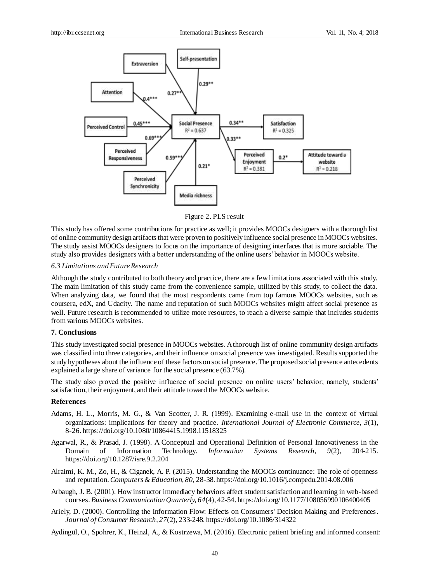

Figure 2. PLS result

This study has offered some contributions for practice as well; it provides MOOCs designers with a thorough list of online community design artifacts that were proven to positively influence social presence in MOOCs websites. The study assist MOOCs designers to focus on the importance of designing interfaces that is more sociable. The study also provides designers with a better understanding of the online users' behavior in MOOCs website.

#### *6.3 Limitations and Future Research*

Although the study contributed to both theory and practice, there are a few limitations associated with this study. The main limitation of this study came from the convenience sample, utilized by this study, to collect the data. When analyzing data, we found that the most respondents came from top famous MOOCs websites, such as coursera, edX, and Udacity. The name and reputation of such MOOCs websites might affect social presence as well. Future research is recommended to utilize more resources, to reach a diverse sample that includes students from various MOOCs websites.

#### **7. Conclusions**

This study investigated social presence in MOOCs websites. A thorough list of online community design artifacts was classified into three categories, and their influence on social presence was investigated. Results supported the study hypotheses about the influence of these factors on social presence. The proposed social presence antecedents explained a large share of variance for the social presence (63.7%).

The study also proved the positive influence of social presence on online users' behavior; namely, students' satisfaction, their enjoyment, and their attitude toward the MOOCs website.

#### **References**

- Adams, H. L., Morris, M. G., & Van Scotter, J. R. (1999). Examining e-mail use in the context of virtual organizations: implications for theory and practice. *International Journal of Electronic Commerce, 3*(1), 8-26. https://doi.org/10.1080/10864415.1998.11518325
- Agarwal, R., & Prasad, J. (1998). A Conceptual and Operational Definition of Personal Innovativeness in the Domain of Information Technology. *Information Systems Research, 9*(2), 204-215. https://doi.org/10.1287/isre.9.2.204
- Alraimi, K. M., Zo, H., & Ciganek, A. P. (2015). Understanding the MOOCs continuance: The role of openness and reputation. *Computers & Education, 80,* 28-38. https://doi.org/10.1016/j.compedu.2014.08.006
- Arbaugh, J. B. (2001). How instructor immediacy behaviors affect student satisfaction and learning in web-based courses. *Business Communication Quarterly, 64*(4), 42-54. https://doi.org/10.1177/108056990106400405
- Ariely, D. (2000). Controlling the Information Flow: Effects on Consumers' Decision Making and Preferences. *Journal of Consumer Research, 27*(2), 233-248. https://doi.org/10.1086/314322
- Aydingül, O., Spohrer, K., Heinzl, A., & Kostrzewa, M. (2016). Electronic patient briefing and informed consent: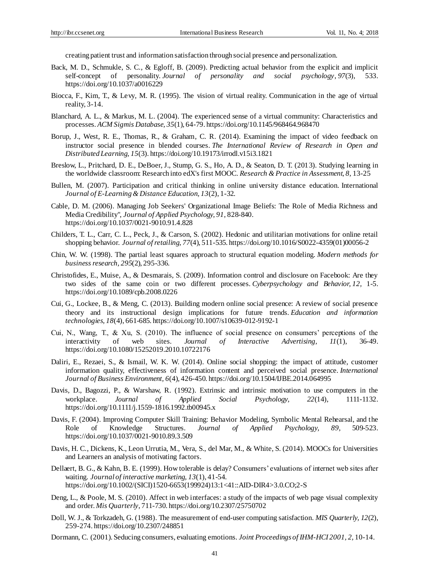creating patient trust and information satisfaction through social presence and personalization.

- Back, M. D., Schmukle, S. C., & Egloff, B. (2009). Predicting actual behavior from the explicit and implicit self-concept of personality. *Journal of personality and social psychology*, *97*(3), 533. https://doi.org/10.1037/a0016229
- Biocca, F., Kim, T., & Levy, M. R. (1995). The vision of virtual reality. Communication in the age of virtual reality, 3-14.
- Blanchard, A. L., & Markus, M. L. (2004). The experienced sense of a virtual community: Characteristics and processes. *ACM Sigmis Database, 35*(1), 64-79. https://doi.org/10.1145/968464.968470
- Borup, J., West, R. E., Thomas, R., & Graham, C. R. (2014). Examining the impact of video feedback on instructor social presence in blended courses. *The International Review of Research in Open and Distributed Learning, 15*(3). https://doi.org/10.19173/irrodl.v15i3.1821
- Breslow, L., Pritchard, D. E., DeBoer, J., Stump, G. S., Ho, A. D., & Seaton, D. T. (2013). Studying learning in the worldwide classroom: Research into edX's first MOOC. *Research & Practice in Assessment, 8,* 13-25
- Bullen, M. (2007). Participation and critical thinking in online university distance education. International *Journal of E-Learning & Distance Education, 13*(2), 1-32.
- Cable, D. M. (2006). Managing Job Seekers' Organizational Image Beliefs: The Role of Media Richness and Media Credibility", *Journal of Applied Psychology, 91,* 828-840. https://doi.org/10.1037/0021-9010.91.4.828
- Childers, T. L., Carr, C. L., Peck, J., & Carson, S. (2002). Hedonic and utilitarian motivations for online retail shopping behavior. *Journal of retailing, 77*(4), 511-535. https://doi.org/10.1016/S0022-4359(01)00056-2
- Chin, W. W. (1998). The partial least squares approach to structural equation modeling. *Modern methods for business research, 295*(2), 295-336.
- Christofides, E., Muise, A., & Desmarais, S. (2009). Information control and disclosure on Facebook: Are they two sides of the same coin or two different processes. *Cyberpsychology and Behavior, 12,* 1-5. https://doi.org/10.1089/cpb.2008.0226
- Cui, G., Lockee, B., & Meng, C. (2013). Building modern online social presence: A review of social presence theory and its instructional design implications for future trends. *Education and information technologies, 18*(4), 661-685. https://doi.org/10.1007/s10639-012-9192-1
- Cui, N., Wang, T., & Xu, S. (2010). The influence of social presence on consumers' perceptions of the interactivity of web sites. *Journal of Interactive Advertising, 11*(1), 36-49. https://doi.org/10.1080/15252019.2010.10722176
- Daliri, E., Rezaei, S., & Ismail, W. K. W. (2014). Online social shopping: the impact of attitude, customer information quality, effectiveness of information content and perceived social presence. *International Journal of Business Environment, 6*(4), 426-450. https://doi.org/10.1504/IJBE.2014.064995
- Davis, D., Bagozzi, P., & Warshaw, R. (1992). Extrinsic and intrinsic motivation to use computers in the workplace. *Journal of Applied Social Psychology, 22*(14), 1111-1132. https://doi.org/10.1111/j.1559-1816.1992.tb00945.x
- Davis, F. (2004). Improving Computer Skill Training: Behavior Modeling, Symbolic Mental Rehearsal, and the Role of Knowledge Structures. *Journal of Applied Psychology, 89,* 509-523. https://doi.org/10.1037/0021-9010.89.3.509
- Davis, H. C., Dickens, K., Leon Urrutia, M., Vera, S., del Mar, M., & White, S. (2014). MOOCs for Universities and Learners an analysis of motivating factors.
- Dellaert, B. G., & Kahn, B. E. (1999). How tolerable is delay? Consumers' evaluations of internet web sites after waiting. *Journal of interactive marketing, 13*(1), 41-54. https://doi.org/10.1002/(SICI)1520-6653(199924)13:1<41::AID-DIR4>3.0.CO;2-S
- Deng, L., & Poole, M. S. (2010). Affect in web interfaces: a study of the impacts of web page visual complexity and order. *Mis Quarterly*, 711-730. https://doi.org/10.2307/25750702
- Doll, W. J., & Torkzadeh, G. (1988). The measurement of end-user computing satisfaction. *MIS Quarterly, 12*(2), 259-274. https://doi.org/10.2307/248851
- Dormann, C. (2001). Seducing consumers, evaluating emotions. *Joint Proceedings of IHM-HCI 2001, 2,* 10-14.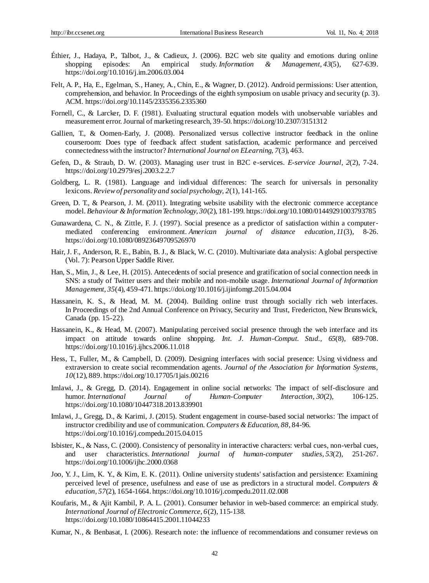- Éthier, J., Hadaya, P., Talbot, J., & Cadieux, J. (2006). B2C web site quality and emotions during online shopping episodes: An empirical study. *Information & Management, 43*(5), 627-639. https://doi.org/10.1016/j.im.2006.03.004
- Felt, A. P., Ha, E., Egelman, S., Haney, A., Chin, E., & Wagner, D. (2012). Android permissions: User attention, comprehension, and behavior. In Proceedings of the eighth symposium on usable privacy and security (p. 3). ACM. https://doi.org/10.1145/2335356.2335360
- Fornell, C., & Larcker, D. F. (1981). Evaluating structural equation models with unobservable variables and measurement error.Journal of marketing research, 39-50. https://doi.org/10.2307/3151312
- Gallien, T., & Oomen-Early, J. (2008). Personalized versus collective instructor feedback in the online courseroom: Does type of feedback affect student satisfaction, academic performance and perceived connectedness with the instructor? *International Journal on ELearning, 7*(3), 463.
- Gefen, D., & Straub, D. W. (2003). Managing user trust in B2C e-services. *E-service Journal, 2*(2), 7-24. https://doi.org/10.2979/esj.2003.2.2.7
- Goldberg, L. R. (1981). Language and individual differences: The search for universals in personality lexicons. *Review of personality and social psychology, 2*(1), 141-165.
- Green, D. T., & Pearson, J. M. (2011). Integrating website usability with the electronic commerce acceptance model. *Behaviour & Information Technology, 30*(2), 181-199. https://doi.org/10.1080/01449291003793785
- Gunawardena, C. N., & Zittle, F. J. (1997). Social presence as a predictor of satisfaction within a computermediated conferencing environment. *American journal of distance education, 11*(3), 8-26. https://doi.org/10.1080/08923649709526970
- Hair, J. F., Anderson, R. E., Babin, B. J., & Black, W. C. (2010). Multivariate data analysis: A global perspective (Vol. 7): Pearson Upper Saddle River.
- Han, S., Min, J., & Lee, H. (2015). Antecedents of social presence and gratification of social connection needs in SNS: a study of Twitter users and their mobile and non-mobile usage. *International Journal of Information Management, 35*(4), 459-471. https://doi.org/10.1016/j.ijinfomgt.2015.04.004
- Hassanein, K. S., & Head, M. M. (2004). Building online trust through socially rich web interfaces. In Proceedings of the 2nd Annual Conference on Privacy, Security and Trust, Fredericton, New Brunswick, Canada (pp. 15-22).
- Hassanein, K., & Head, M. (2007). Manipulating perceived social presence through the web interface and its impact on attitude towards online shopping. *Int. J. Human-Comput. Stud., 65*(8), 689-708. https://doi.org/10.1016/j.ijhcs.2006.11.018
- Hess, T., Fuller, M., & Campbell, D. (2009). Designing interfaces with social presence: Using vividness and extraversion to create social recommendation agents. *Journal of the Association for Information Systems, 10*(12), 889. https://doi.org/10.17705/1jais.00216
- Imlawi, J., & Gregg, D. (2014). Engagement in online social networks: The impact of self-disclosure and humor. *International Journal of Human-Computer Interaction, 30*(2), 106-125. https://doi.org/10.1080/10447318.2013.839901
- Imlawi, J., Gregg, D., & Karimi, J. (2015). Student engagement in course-based social networks: The impact of instructor credibility and use of communication. *Computers & Education, 88,* 84-96. https://doi.org/10.1016/j.compedu.2015.04.015
- Isbister, K., & Nass, C. (2000). Consistency of personality in interactive characters: verbal cues, non-verbal cues, and user characteristics*. International journal of human-computer studies, 53*(2), 251-267. https://doi.org/10.1006/ijhc.2000.0368
- Joo, Y. J., Lim, K. Y., & Kim, E. K. (2011). Online university students' satisfaction and persistence: Examining perceived level of presence, usefulness and ease of use as predictors in a structural model. *Computers & education, 57*(2), 1654-1664. https://doi.org/10.1016/j.compedu.2011.02.008
- Koufaris, M., & Ajit Kambil, P. A. L. (2001). Consumer behavior in web-based commerce: an empirical study. *International Journal of Electronic Commerce, 6*(2), 115-138. https://doi.org/10.1080/10864415.2001.11044233
- Kumar, N., & Benbasat, I. (2006). Research note: the influence of recommendations and consumer reviews on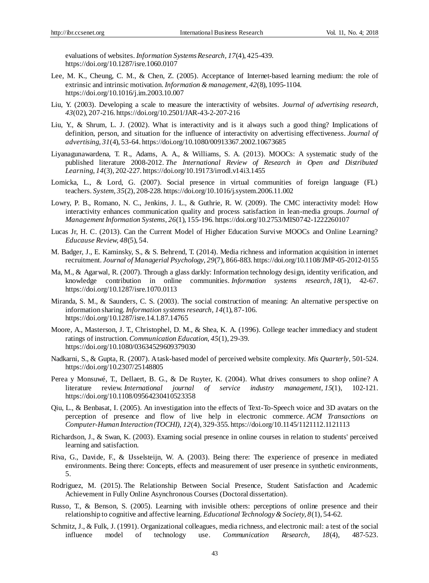evaluations of websites. *Information Systems Research, 17*(4), 425-439. https://doi.org/10.1287/isre.1060.0107

- Lee, M. K., Cheung, C. M., & Chen, Z. (2005). Acceptance of Internet-based learning medium: the role of extrinsic and intrinsic motivation. *Information & management, 42*(8), 1095-1104. https://doi.org/10.1016/j.im.2003.10.007
- Liu, Y. (2003). Developing a scale to measure the interactivity of websites. *Journal of advertising research, 43*(02), 207-216. https://doi.org/10.2501/JAR-43-2-207-216
- Liu, Y., & Shrum, L. J. (2002). What is interactivity and is it always such a good thing? Implications of definition, person, and situation for the influence of interactivity on advertising effectiveness. *Journal of advertising, 31*(4), 53-64. https://doi.org/10.1080/00913367.2002.10673685
- Liyanagunawardena, T. R., Adams, A. A., & Williams, S. A. (2013). MOOCs: A systematic study of the published literature 2008-2012. *The International Review of Research in Open and Distributed Learning*, *14*(3), 202-227. https://doi.org/10.19173/irrodl.v14i3.1455
- Lomicka, L., & Lord, G. (2007). Social presence in virtual communities of foreign language (FL) teachers. *System, 35*(2), 208-228. https://doi.org/10.1016/j.system.2006.11.002
- Lowry, P. B., Romano, N. C., Jenkins, J. L., & Guthrie, R. W. (2009). The CMC interactivity model: How interactivity enhances communication quality and process satisfaction in lean-media groups. *Journal of Management Information Systems, 26*(1), 155-196. https://doi.org/10.2753/MIS0742-1222260107
- Lucas Jr, H. C. (2013). Can the Current Model of Higher Education Survive MOOCs and Online Learning? *Educause Review, 48*(5), 54.
- M. Badger, J., E. Kaminsky, S., & S. Behrend, T. (2014). Media richness and information acquisition in internet recruitment. *Journal of Managerial Psychology, 29*(7), 866-883. https://doi.org/10.1108/JMP-05-2012-0155
- Ma, M., & Agarwal, R. (2007). Through a glass darkly: Information technology design, identity verification, and knowledge contribution in online communities. *Information systems research, 18*(1), 42-67. https://doi.org/10.1287/isre.1070.0113
- Miranda, S. M., & Saunders, C. S. (2003). The social construction of meaning: An alternative perspective on information sharing*.Information systems research, 14*(1), 87-106. https://doi.org/10.1287/isre.14.1.87.14765
- Moore, A., Masterson, J. T., Christophel, D. M., & Shea, K. A. (1996). College teacher immediacy and student ratings of instruction. *Communication Education, 45*(1), 29-39. https://doi.org/10.1080/03634529609379030
- Nadkarni, S., & Gupta, R. (2007). A task-based model of perceived website complexity. *Mis Quarterly*, 501-524. https://doi.org/10.2307/25148805
- Perea y Monsuwé, T., Dellaert, B. G., & De Ruyter, K. (2004). What drives consumers to shop online? A literature review. *International journal of service industry management, 15*(1), 102-121. https://doi.org/10.1108/09564230410523358
- Qiu, L., & Benbasat, I. (2005). An investigation into the effects of Text-To-Speech voice and 3D avatars on the perception of presence and flow of live help in electronic commerce. *ACM Transactions on Computer-Human Interaction (TOCHI)*, *12*(4), 329-355. https://doi.org/10.1145/1121112.1121113
- Richardson, J., & Swan, K. (2003). Examing social presence in online courses in relation to students' perceived learning and satisfaction.
- Riva, G., Davide, F., & IJsselsteijn, W. A. (2003). Being there: The experience of presence in mediated environments. Being there: Concepts, effects and measurement of user presence in synthetic environments, 5.
- Rodriguez, M. (2015). The Relationship Between Social Presence, Student Satisfaction and Academic Achievement in Fully Online Asynchronous Courses (Doctoral dissertation).
- Russo, T., & Benson, S. (2005). Learning with invisible others: perceptions of online presence and their relationship to cognitive and affective learning. *Educational Technology & Society, 8*(1), 54-62.
- Schmitz, J., & Fulk, J. (1991). Organizational colleagues, media richness, and electronic mail: a test of the social influence model of technology use. *Communication Research, 18*(4), 487-523.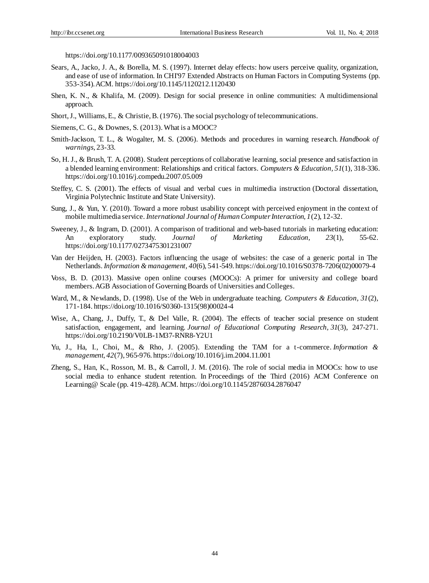https://doi.org/10.1177/009365091018004003

- Sears, A., Jacko, J. A., & Borella, M. S. (1997). Internet delay effects: how users perceive quality, organization, and ease of use of information. In CHI'97 Extended Abstracts on Human Factors in Computing Systems (pp. 353-354). ACM. https://doi.org/10.1145/1120212.1120430
- Shen, K. N., & Khalifa, M. (2009). Design for social presence in online communities: A multidimensional approach.
- Short, J., Williams, E., & Christie, B. (1976). The social psychology of telecommunications.
- Siemens, C. G., & Downes, S. (2013). What is a MOOC?
- Smith-Jackson, T. L., & Wogalter, M. S. (2006). Methods and procedures in warning research. *Handbook of warnings*, 23-33.
- So, H. J., & Brush, T. A. (2008). Student perceptions of collaborative learning, social presence and satisfaction in a blended learning environment: Relationships and critical factors. *Computers & Education, 51*(1), 318-336. https://doi.org/10.1016/j.compedu.2007.05.009
- Steffey, C. S. (2001). The effects of visual and verbal cues in multimedia instruction (Doctoral dissertation, Virginia Polytechnic Institute and State University).
- Sung, J., & Yun, Y. (2010). Toward a more robust usability concept with perceived enjoyment in the context of mobile multimedia service. *International Journal of Human Computer Interaction, 1*(2), 12-32.
- Sweeney, J., & Ingram, D. (2001). A comparison of traditional and web-based tutorials in marketing education: An exploratory study. *Journal of Marketing Education, 23*(1), 55-62. https://doi.org/10.1177/0273475301231007
- Van der Heijden, H. (2003). Factors influencing the usage of websites: the case of a generic portal in The Netherlands. *Information & management, 40*(6), 541-549. https://doi.org/10.1016/S0378-7206(02)00079-4
- Voss, B. D. (2013). Massive open online courses (MOOCs): A primer for university and college board members.AGB Association of Governing Boards of Universities and Colleges.
- Ward, M., & Newlands, D. (1998). Use of the Web in undergraduate teaching. *Computers & Education, 31*(2), 171-184. https://doi.org/10.1016/S0360-1315(98)00024-4
- Wise, A., Chang, J., Duffy, T., & Del Valle, R. (2004). The effects of teacher social presence on student satisfaction, engagement, and learning. *Journal of Educational Computing Research, 31*(3), 247-271. https://doi.org/10.2190/V0LB-1M37-RNR8-Y2U1
- Yu, J., Ha, I., Choi, M., & Rho, J. (2005). Extending the TAM for a t-commerce. *Information & management*, *42*(7), 965-976. https://doi.org/10.1016/j.im.2004.11.001
- Zheng, S., Han, K., Rosson, M. B., & Carroll, J. M. (2016). The role of social media in MOOCs: how to use social media to enhance student retention. In Proceedings of the Third (2016) ACM Conference on Learning@ Scale (pp. 419-428). ACM. https://doi.org/10.1145/2876034.2876047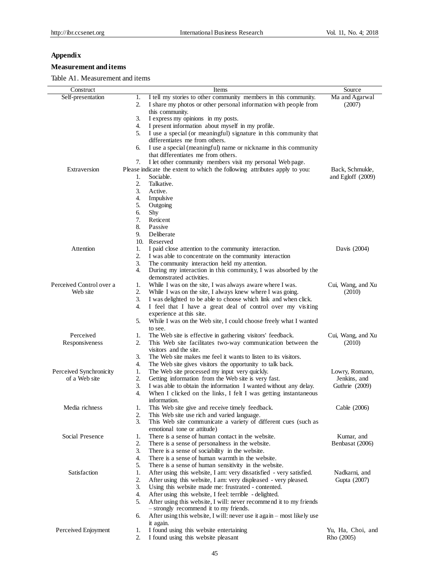# **Appendix**

# **Measurement and items**

# Table A1. Measurement and items

| Construct                |    | Items                                                                      | Source            |
|--------------------------|----|----------------------------------------------------------------------------|-------------------|
| Self-presentation        | 1. | I tell my stories to other community members in this community.            | Ma and Agarwal    |
|                          |    |                                                                            |                   |
|                          | 2. | I share my photos or other personal information with people from           | (2007)            |
|                          |    | this community.                                                            |                   |
|                          | 3. | I express my opinions in my posts.                                         |                   |
|                          | 4. | I present information about myself in my profile.                          |                   |
|                          | 5. | I use a special (or meaningful) signature in this community that           |                   |
|                          |    | differentiates me from others.                                             |                   |
|                          | 6. | I use a special (meaningful) name or nickname in this community            |                   |
|                          |    | that differentiates me from others.                                        |                   |
|                          | 7. | I let other community members visit my personal Web page.                  |                   |
| Extraversion             |    | Please indicate the extent to which the following attributes apply to you: | Back, Schmukle,   |
|                          | 1. | Sociable.                                                                  | and Egloff (2009) |
|                          | 2. | Talkative.                                                                 |                   |
|                          | 3. | Active.                                                                    |                   |
|                          | 4. | Impulsive                                                                  |                   |
|                          | 5. | Outgoing                                                                   |                   |
|                          | 6. | Shy                                                                        |                   |
|                          | 7. | Reticent                                                                   |                   |
|                          | 8. | Passive                                                                    |                   |
|                          | 9. | Deliberate                                                                 |                   |
|                          |    |                                                                            |                   |
|                          |    | 10. Reserved                                                               |                   |
| Attention                | 1. | I paid close attention to the community interaction.                       | Davis (2004)      |
|                          | 2. | I was able to concentrate on the community interaction                     |                   |
|                          | 3. | The community interaction held my attention.                               |                   |
|                          | 4. | During my interaction in this community, I was absorbed by the             |                   |
|                          |    | demonstrated activities.                                                   |                   |
| Perceived Control over a | 1. | While I was on the site, I was always aware where I was.                   | Cui, Wang, and Xu |
| Web site                 | 2. | While I was on the site, I always knew where I was going.                  | (2010)            |
|                          | 3. | I was delighted to be able to choose which link and when click.            |                   |
|                          | 4. | I feel that I have a great deal of control over my visiting                |                   |
|                          |    | experience at this site.                                                   |                   |
|                          | 5. | While I was on the Web site, I could choose freely what I wanted           |                   |
|                          |    | to see.                                                                    |                   |
| Perceived                | 1. | The Web site is effective in gathering visitors' feedback.                 | Cui, Wang, and Xu |
| Responsiveness           | 2. | This Web site facilitates two-way communication between the                | (2010)            |
|                          |    | visitors and the site.                                                     |                   |
|                          | 3. | The Web site makes me feel it wants to listen to its visitors.             |                   |
|                          | 4. | The Web site gives visitors the opportunity to talk back.                  |                   |
| Perceived Synchronicity  | 1. | The Web site processed my input very quickly.                              | Lowry, Romano,    |
| of a Web site            | 2. | Getting information from the Web site is very fast.                        | Jenkins, and      |
|                          | 3. | I was able to obtain the information I wanted without any delay.           | Guthrie (2009)    |
|                          | 4. | When I clicked on the links, I felt I was getting instantaneous            |                   |
|                          |    | information.                                                               |                   |
|                          |    |                                                                            |                   |
| Media richness           | 1. | This Web site give and receive timely feedback.                            | Cable (2006)      |
|                          | 2. | This Web site use rich and varied language.                                |                   |
|                          | 3. | This Web site communicate a variety of different cues (such as             |                   |
|                          |    | emotional tone or attitude)                                                |                   |
| Social Presence          | 1. | There is a sense of human contact in the website.                          | Kumar, and        |
|                          | 2. | There is a sense of personalness in the website.                           | Benbasat (2006)   |
|                          | 3. | There is a sense of sociability in the website.                            |                   |
|                          | 4. | There is a sense of human warmth in the website.                           |                   |
|                          | 5. | There is a sense of human sensitivity in the website.                      |                   |
| Satisfaction             | 1. | After using this website, I am: very dissatisfied - very satisfied.        | Nadkarni, and     |
|                          | 2. | After using this website, I am: very displeased - very pleased.            | Gupta (2007)      |
|                          | 3. | Using this website made me: frustrated - contented.                        |                   |
|                          | 4. | After using this website, I feel: terrible - delighted.                    |                   |
|                          | 5. | After using this website, I will: never recommend it to my friends         |                   |
|                          |    | - strongly recommend it to my friends.                                     |                   |
|                          | 6. | After using this website, I will: never use it again - most likely use     |                   |
|                          |    | it again.                                                                  |                   |
| Perceived Enjoyment      | 1. | I found using this website entertaining                                    | Yu, Ha, Choi, and |
|                          | 2. | I found using this website pleasant                                        | Rho (2005)        |